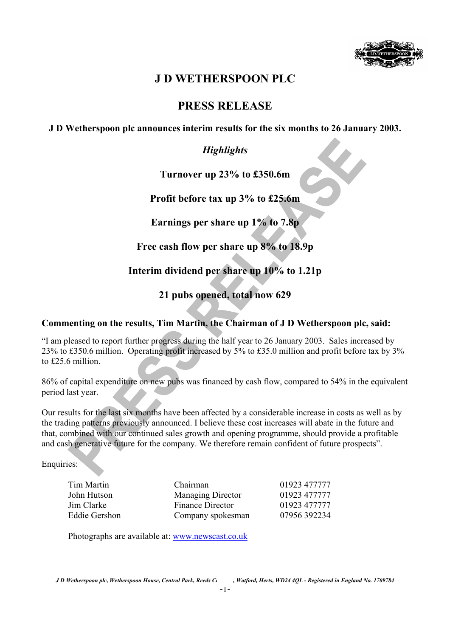

# **J D WETHERSPOON PLC**

# **PRESS RELEASE**

**J D Wetherspoon plc announces interim results for the six months to 26 January 2003.** 

## *Highlights*

**Turnover up 23% to £350.6m** 

**Profit before tax up 3% to £25.6m** 

**Earnings per share up 1% to 7.8p** 

**Free cash flow per share up 8% to 18.9p** 

**Interim dividend per share up 10% to 1.21p** 

**21 pubs opened, total now 629** 

### **Commenting on the results, Tim Martin, the Chairman of J D Wetherspoon plc, said:**

"I am pleased to report further progress during the half year to 26 January 2003. Sales increased by 23% to £350.6 million. Operating profit increased by 5% to £35.0 million and profit before tax by 3% to £25.6 million.

86% of capital expenditure on new pubs was financed by cash flow, compared to 54% in the equivalent period last year.

Our results for the last six months have been affected by a considerable increase in costs as well as by the trading patterns previously announced. I believe these cost increases will abate in the future and that, combined with our continued sales growth and opening programme, should provide a profitable and cash generative future for the company. We therefore remain confident of future prospects".

Enquiries:

| Tim Martin    | Chairman                 | 01923 477777 |
|---------------|--------------------------|--------------|
| John Hutson   | <b>Managing Director</b> | 01923 477777 |
| Jim Clarke    | Finance Director         | 01923 477777 |
| Eddie Gershon | Company spokesman        | 07956 392234 |

Photographs are available at: www.newscast.co.uk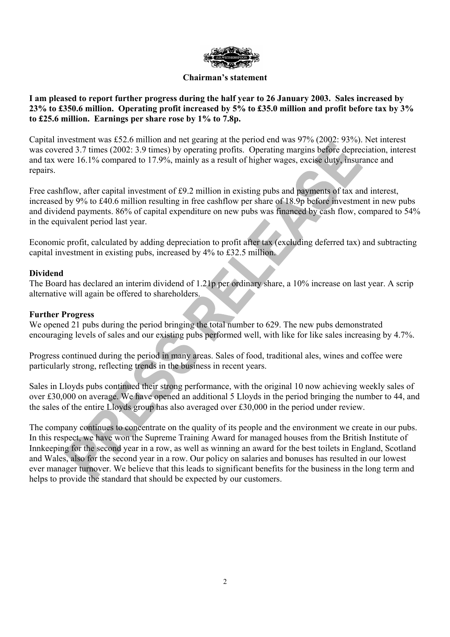

#### **Chairman's statement**

### **I am pleased to report further progress during the half year to 26 January 2003. Sales increased by 23% to £350.6 million. Operating profit increased by 5% to £35.0 million and profit before tax by 3% to £25.6 million. Earnings per share rose by 1% to 7.8p.**

Capital investment was £52.6 million and net gearing at the period end was 97% (2002: 93%). Net interest was covered 3.7 times (2002: 3.9 times) by operating profits. Operating margins before depreciation, interest and tax were 16.1% compared to 17.9%, mainly as a result of higher wages, excise duty, insurance and repairs.

Free cashflow, after capital investment of £9.2 million in existing pubs and payments of tax and interest, increased by 9% to £40.6 million resulting in free cashflow per share of 18.9p before investment in new pubs and dividend payments. 86% of capital expenditure on new pubs was financed by cash flow, compared to 54% in the equivalent period last year.

Economic profit, calculated by adding depreciation to profit after tax (excluding deferred tax) and subtracting capital investment in existing pubs, increased by 4% to £32.5 million.

### **Dividend**

The Board has declared an interim dividend of 1.21p per ordinary share, a 10% increase on last year. A scrip alternative will again be offered to shareholders.

#### **Further Progress**

We opened 21 pubs during the period bringing the total number to 629. The new pubs demonstrated encouraging levels of sales and our existing pubs performed well, with like for like sales increasing by 4.7%.

Progress continued during the period in many areas. Sales of food, traditional ales, wines and coffee were particularly strong, reflecting trends in the business in recent years.

Sales in Lloyds pubs continued their strong performance, with the original 10 now achieving weekly sales of over £30,000 on average. We have opened an additional 5 Lloyds in the period bringing the number to 44, and the sales of the entire Lloyds group has also averaged over £30,000 in the period under review.

The company continues to concentrate on the quality of its people and the environment we create in our pubs. In this respect, we have won the Supreme Training Award for managed houses from the British Institute of Innkeeping for the second year in a row, as well as winning an award for the best toilets in England, Scotland and Wales, also for the second year in a row. Our policy on salaries and bonuses has resulted in our lowest ever manager turnover. We believe that this leads to significant benefits for the business in the long term and helps to provide the standard that should be expected by our customers.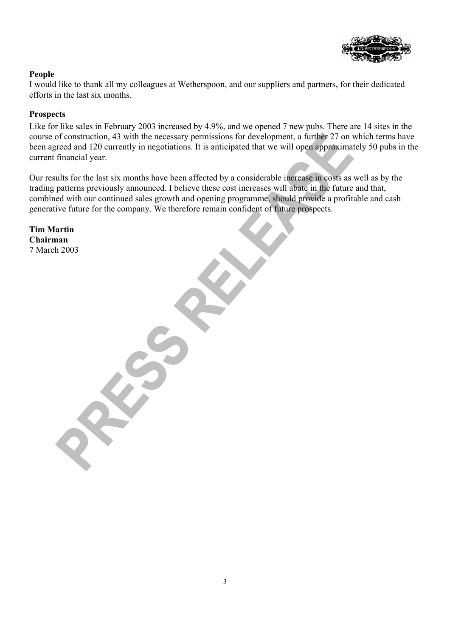

### **People**

I would like to thank all my colleagues at Wetherspoon, and our suppliers and partners, for their dedicated efforts in the last six months.

### **Prospects**

Like for like sales in February 2003 increased by 4.9%, and we opened 7 new pubs. There are 14 sites in the course of construction, 43 with the necessary permissions for development, a further 27 on which terms have been agreed and 120 currently in negotiations. It is anticipated that we will open approximately 50 pubs in the current financial year.

Our results for the last six months have been affected by a considerable increase in costs as well as by the trading patterns previously announced. I believe these cost increases will abate in the future and that, combined with our continued sales growth and opening programme, should provide a profitable and cash generative future for the company. We therefore remain confident of future prospects.

**Tim Martin Chairman**  7 March 2003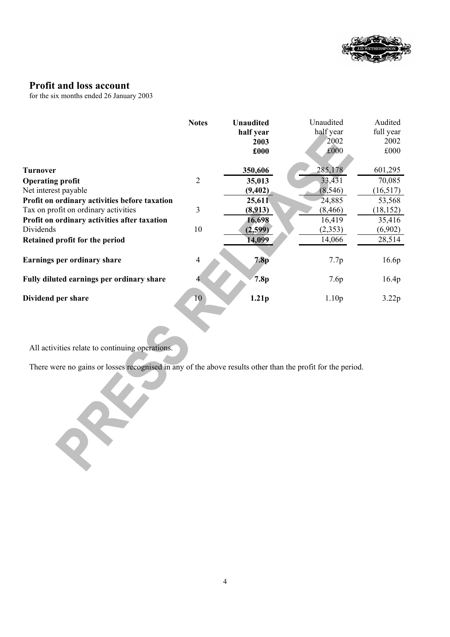

### **Profit and loss account**

for the six months ended 26 January 2003

|                                               | <b>Notes</b>   | <b>Unaudited</b><br>half year<br>2003<br>£000 | Unaudited<br>half year<br>2002<br>£000 | Audited<br>full year<br>2002<br>£000 |
|-----------------------------------------------|----------------|-----------------------------------------------|----------------------------------------|--------------------------------------|
|                                               |                |                                               |                                        |                                      |
| <b>Turnover</b>                               |                | 350,606                                       | 285,178                                | 601,295                              |
| <b>Operating profit</b>                       | $\overline{2}$ | 35,013                                        | 33,431                                 | 70,085                               |
| Net interest payable                          |                | (9, 402)                                      | (8, 546)                               | (16, 517)                            |
| Profit on ordinary activities before taxation |                | 25,611                                        | 24,885                                 | 53,568                               |
| Tax on profit on ordinary activities          | 3              | (8,913)                                       | (8, 466)                               | (18, 152)                            |
| Profit on ordinary activities after taxation  |                | 16,698                                        | 16,419                                 | 35,416                               |
| Dividends                                     | 10             | (2,599)                                       | (2,353)                                | (6,902)                              |
| Retained profit for the period                |                | 14,099                                        | 14,066                                 | 28,514                               |
| Earnings per ordinary share                   | 4              | 7.8 <sub>p</sub>                              | 7.7p                                   | 16.6p                                |
| Fully diluted earnings per ordinary share     | 4              | 7.8p                                          | 7.6p                                   | 16.4 <sub>p</sub>                    |
| Dividend per share                            | 10             | 1.21 <sub>p</sub>                             | 1.10 <sub>p</sub>                      | 3.22p                                |

All activities relate to continuing operations.

There were no gains or losses recognised in any of the above results other than the profit for the period.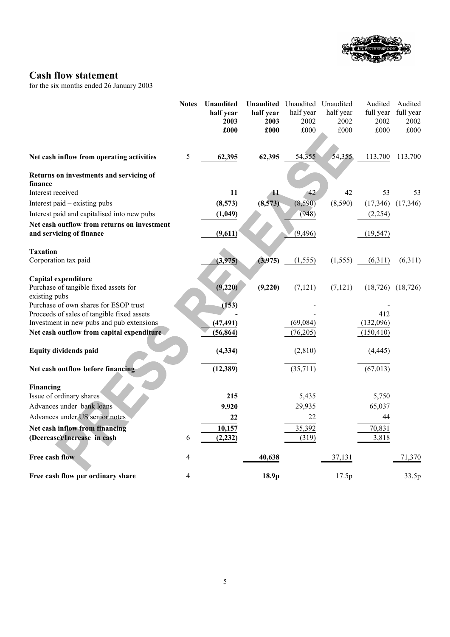

## **Cash flow statement**

for the six months ended 26 January 2003

|                                                        | <b>Notes</b> | Unaudited         |                   | Unaudited Unaudited Unaudited |                   | Audited           | Audited                 |
|--------------------------------------------------------|--------------|-------------------|-------------------|-------------------------------|-------------------|-------------------|-------------------------|
|                                                        |              | half year<br>2003 | half year<br>2003 | half year<br>2002             | half year<br>2002 | full year<br>2002 | full year<br>2002       |
|                                                        |              | £000              | £000              | £000                          | £000              | £000              | £000                    |
|                                                        |              |                   |                   |                               |                   |                   |                         |
| Net cash inflow from operating activities              | $\sqrt{5}$   | 62,395            | 62,395            | 54,355                        | 54,355            | 113,700           | 113,700                 |
| Returns on investments and servicing of                |              |                   |                   |                               |                   |                   |                         |
| finance                                                |              |                   |                   |                               |                   |                   |                         |
| Interest received                                      |              | 11                | 11                | $\sqrt{42}$                   | 42                | 53                | 53                      |
| Interest paid - existing pubs                          |              | (8,573)           | (8,573)           | (8,590)                       | (8,590)           | (17, 346)         | (17,346)                |
| Interest paid and capitalised into new pubs            |              | (1,049)           |                   | (948)                         |                   | (2, 254)          |                         |
| Net cash outflow from returns on investment            |              |                   |                   |                               |                   |                   |                         |
| and servicing of finance                               |              | (9,611)           |                   | (9, 496)                      |                   | (19, 547)         |                         |
| <b>Taxation</b>                                        |              |                   |                   |                               |                   |                   |                         |
| Corporation tax paid                                   |              | (3,975)           | (3,975)           | (1, 555)                      | (1, 555)          | (6,311)           | (6,311)                 |
|                                                        |              |                   |                   |                               |                   |                   |                         |
| Capital expenditure                                    |              |                   |                   |                               |                   |                   |                         |
| Purchase of tangible fixed assets for<br>existing pubs |              | (9,220)           | (9,220)           | (7, 121)                      | (7, 121)          |                   | $(18, 726)$ $(18, 726)$ |
| Purchase of own shares for ESOP trust                  |              | (153)             |                   |                               |                   |                   |                         |
| Proceeds of sales of tangible fixed assets             |              |                   |                   |                               |                   | 412               |                         |
| Investment in new pubs and pub extensions              |              | (47, 491)         |                   | (69,084)                      |                   | (132,096)         |                         |
| Net cash outflow from capital expenditure              |              | (56, 864)         |                   | (76,205)                      |                   | (150, 410)        |                         |
| <b>Equity dividends paid</b>                           |              | (4, 334)          |                   | (2,810)                       |                   | (4, 445)          |                         |
| Net cash outflow before financing                      |              | (12, 389)         |                   | (35, 711)                     |                   | (67, 013)         |                         |
| Financing                                              |              |                   |                   |                               |                   |                   |                         |
| Issue of ordinary shares                               |              | 215               |                   | 5,435                         |                   | 5,750             |                         |
| Advances under bank loans                              |              | 9,920             |                   | 29,935                        |                   | 65,037            |                         |
| Advances under US senior notes                         |              | 22                |                   | 22                            |                   | 44                |                         |
| Net cash inflow from financing                         |              | 10,157            |                   | 35,392                        |                   | 70,831            |                         |
| (Decrease)/Increase in cash                            | 6            | (2, 232)          |                   | (319)                         |                   | 3,818             |                         |
| Free cash flow                                         | 4            |                   | 40,638            |                               | 37,131            |                   | 71,370                  |
| Free cash flow per ordinary share                      | 4            |                   | 18.9p             |                               | 17.5p             |                   | 33.5p                   |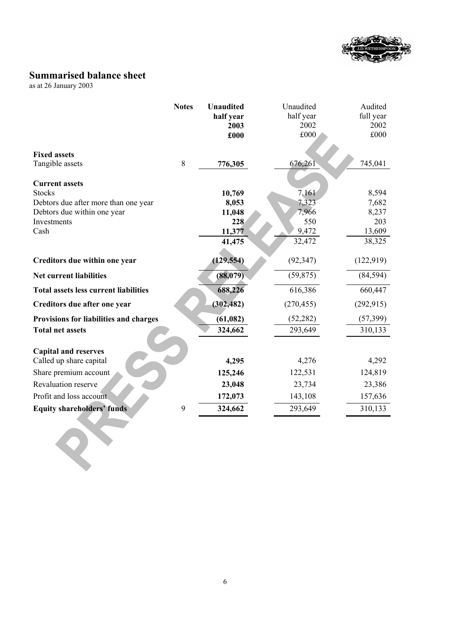

## **Summarised balance sheet**

as at 26 January 2003

|                                                                     | <b>Notes</b> | <b>Unaudited</b> | Unaudited      | Audited        |
|---------------------------------------------------------------------|--------------|------------------|----------------|----------------|
|                                                                     |              | half year        | half year      | full year      |
|                                                                     |              | 2003             | 2002           | 2002           |
|                                                                     |              | £000             | £000           | £000           |
| <b>Fixed assets</b>                                                 |              |                  |                |                |
| Tangible assets                                                     | 8            | 776,305          | 676,261        | 745,041        |
|                                                                     |              |                  |                |                |
| <b>Current assets</b>                                               |              |                  |                |                |
| <b>Stocks</b>                                                       |              | 10,769           | 7,161          | 8,594          |
| Debtors due after more than one year<br>Debtors due within one year |              | 8,053<br>11,048  | 7,323<br>7,966 | 7,682<br>8,237 |
| Investments                                                         |              | 228              | 550            | 203            |
| Cash                                                                |              | 11,377           | 9,472          | 13,609         |
|                                                                     |              | 41,475           | 32,472         | 38,325         |
|                                                                     |              |                  |                |                |
| Creditors due within one year                                       |              | (129, 554)       | (92, 347)      | (122, 919)     |
| <b>Net current liabilities</b>                                      |              | (88, 079)        | (59, 875)      | (84, 594)      |
| <b>Total assets less current liabilities</b>                        |              | 688,226          | 616,386        | 660,447        |
| Creditors due after one year                                        |              | (302, 482)       | (270, 455)     | (292, 915)     |
| Provisions for liabilities and charges                              |              | (61, 082)        | (52, 282)      | (57, 399)      |
| <b>Total net assets</b>                                             |              | 324,662          | 293,649        | 310,133        |
| <b>Capital and reserves</b>                                         |              |                  |                |                |
| Called up share capital                                             |              | 4,295            | 4,276          | 4,292          |
| Share premium account                                               |              | 125,246          | 122,531        | 124,819        |
| Revaluation reserve                                                 |              | 23,048           | 23,734         | 23,386         |
| Profit and loss account                                             |              | 172,073          | 143,108        | 157,636        |
| <b>Equity shareholders' funds</b>                                   | 9            | 324,662          | 293,649        | 310,133        |
|                                                                     |              |                  |                |                |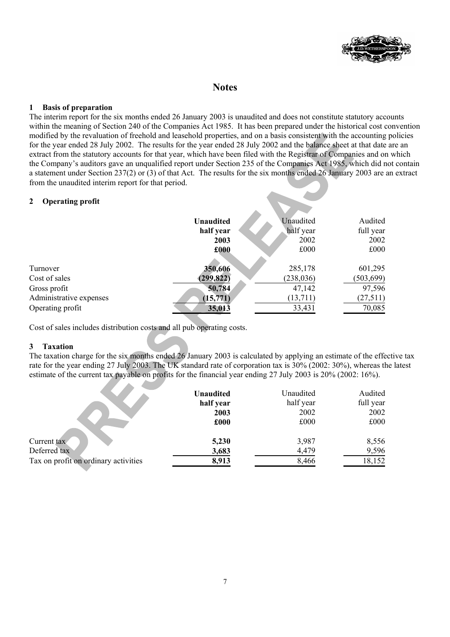

### **Notes**

#### **1 Basis of preparation**

The interim report for the six months ended 26 January 2003 is unaudited and does not constitute statutory accounts within the meaning of Section 240 of the Companies Act 1985. It has been prepared under the historical cost convention modified by the revaluation of freehold and leasehold properties, and on a basis consistent with the accounting policies for the year ended 28 July 2002. The results for the year ended 28 July 2002 and the balance sheet at that date are an extract from the statutory accounts for that year, which have been filed with the Registrar of Companies and on which the Company's auditors gave an unqualified report under Section 235 of the Companies Act 1985, which did not contain a statement under Section 237(2) or (3) of that Act. The results for the six months ended 26 January 2003 are an extract from the unaudited interim report for that period.

#### **2 Operating profit**

|                         | <b>Unaudited</b> | Unaudited  | Audited    |
|-------------------------|------------------|------------|------------|
|                         | half year        | half year  | full year  |
|                         | 2003             | 2002       | 2002       |
|                         | £000             | £000       | £000       |
|                         |                  |            |            |
| Turnover                | 350,606          | 285,178    | 601,295    |
| Cost of sales           | (299, 822)       | (238, 036) | (503, 699) |
| Gross profit            | 50,784           | 47,142     | 97,596     |
| Administrative expenses | (15,771)         | (13, 711)  | (27,511)   |
| Operating profit        | 35,013           | 33,431     | 70,085     |
|                         |                  |            |            |

Cost of sales includes distribution costs and all pub operating costs.

 $\mathcal{A}$ 

**A** 

#### **3 Taxation**

The taxation charge for the six months ended 26 January 2003 is calculated by applying an estimate of the effective tax rate for the year ending 27 July 2003. The UK standard rate of corporation tax is 30% (2002: 30%), whereas the latest estimate of the current tax payable on profits for the financial year ending 27 July 2003 is 20% (2002: 16%).

|                                      | <b>Unaudited</b> | Unaudited<br>half year | Audited   |
|--------------------------------------|------------------|------------------------|-----------|
|                                      | half year        |                        | full year |
|                                      | 2003             | 2002                   | 2002      |
|                                      | £000             | £000                   | £000      |
| Current tax                          | 5,230            | 3,987                  | 8,556     |
| Deferred tax                         | 3,683            | 4,479                  | 9,596     |
| Tax on profit on ordinary activities | 8,913            | 8,466                  | 18,152    |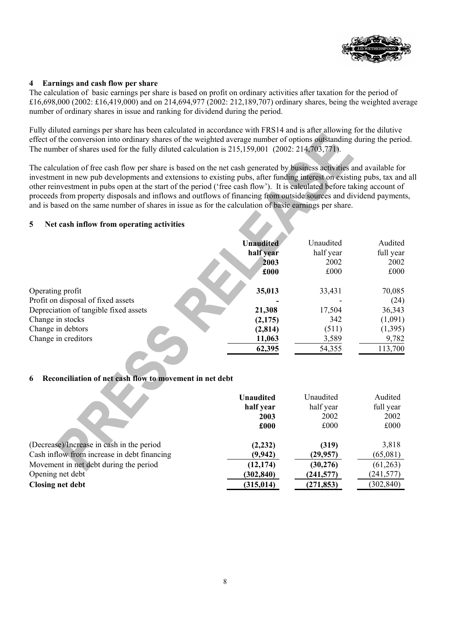

#### **4 Earnings and cash flow per share**

The calculation of basic earnings per share is based on profit on ordinary activities after taxation for the period of £16,698,000 (2002: £16,419,000) and on 214,694,977 (2002: 212,189,707) ordinary shares, being the weighted average number of ordinary shares in issue and ranking for dividend during the period.

Fully diluted earnings per share has been calculated in accordance with FRS14 and is after allowing for the dilutive effect of the conversion into ordinary shares of the weighted average number of options outstanding during the period. The number of shares used for the fully diluted calculation is 215,159,001 (2002: 214,703,771).

The calculation of free cash flow per share is based on the net cash generated by business activities and available for investment in new pub developments and extensions to existing pubs, after funding interest on existing pubs, tax and all other reinvestment in pubs open at the start of the period ('free cash flow'). It is calculated before taking account of proceeds from property disposals and inflows and outflows of financing from outside sources and dividend payments, and is based on the same number of shares in issue as for the calculation of basic earnings per share.

#### **5 Net cash inflow from operating activities**

|                                       | <b>Unaudited</b> | Unaudited | Audited   |
|---------------------------------------|------------------|-----------|-----------|
|                                       | half year        | half year | full year |
|                                       | 2003             | 2002      | 2002      |
|                                       | £000             | £000      | £000      |
| Operating profit                      | 35,013           | 33,431    | 70,085    |
| Profit on disposal of fixed assets    |                  |           | (24)      |
| Depreciation of tangible fixed assets | 21,308           | 17,504    | 36,343    |
| Change in stocks                      | (2,175)          | 342       | (1,091)   |
| Change in debtors                     | (2, 814)         | (511)     | (1,395)   |
| Change in creditors                   | 11,063           | 3,589     | 9,782     |
|                                       | 62,395           | 54,355    | 113,700   |

#### **6 Reconciliation of net cash flow to movement in net debt**

|                                             | <b>Unaudited</b><br>half year<br>2003 | Unaudited<br>half year<br>2002 | Audited<br>full year<br>2002 |
|---------------------------------------------|---------------------------------------|--------------------------------|------------------------------|
|                                             | £000                                  | £000                           | £000                         |
| (Decrease)/Increase in cash in the period   | (2, 232)                              | (319)                          | 3,818                        |
| Cash inflow from increase in debt financing | (9, 942)                              | (29, 957)                      | (65,081)                     |
| Movement in net debt during the period      | (12, 174)                             | (30, 276)                      | (61,263)                     |
| Opening net debt                            | (302, 840)                            | (241, 577)                     | (241, 577)                   |
| <b>Closing net debt</b>                     | (315, 014)                            | (271, 853)                     | (302, 840)                   |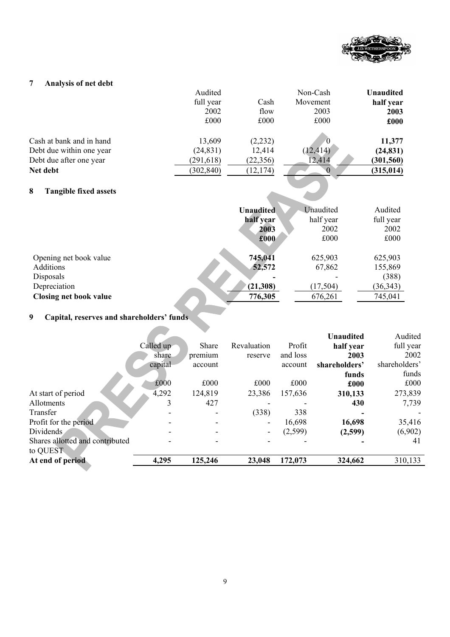

## **7 Analysis of net debt**

|                                   | Audited    |           | Non-Cash  | <b>Unaudited</b> |
|-----------------------------------|------------|-----------|-----------|------------------|
|                                   | full year  | Cash      | Movement  | half year        |
|                                   | 2002       | flow      | 2003      | 2003             |
|                                   | £000       | £000      | £000      | £000             |
| Cash at bank and in hand          | 13,609     | (2, 232)  |           | 11,377           |
| Debt due within one year          | (24, 831)  | 12,414    | (12, 414) | (24, 831)        |
| Debt due after one year           | (291, 618) | (22, 356) | 12,414    | (301, 560)       |
| Net debt                          | (302, 840) | (12, 174) |           | (315, 014)       |
| 8<br><b>Tangible fixed assets</b> |            |           |           |                  |

## **8 Tangible fixed assets**

|                                                                                                   | <b>Unaudited</b>                         | Unaudited                                 | Audited                                             |
|---------------------------------------------------------------------------------------------------|------------------------------------------|-------------------------------------------|-----------------------------------------------------|
|                                                                                                   | half year                                | half year                                 | full year                                           |
|                                                                                                   | 2003                                     | 2002                                      | 2002                                                |
|                                                                                                   | £000                                     | £000                                      | £000                                                |
| Opening net book value<br>Additions<br>Disposals<br>Depreciation<br><b>Closing net book value</b> | 745,041<br>52,572<br>(21,308)<br>776,305 | 625,903<br>67,862<br>(17, 504)<br>676,261 | 625,903<br>155,869<br>(388)<br>(36, 343)<br>745,041 |

# **9 Capital, reserves and shareholders' funds**

|                                             |           |              |                          |          | <b>Unaudited</b> | Audited       |
|---------------------------------------------|-----------|--------------|--------------------------|----------|------------------|---------------|
|                                             | Called up | <b>Share</b> | Revaluation              | Profit   | half year        | full year     |
|                                             | share     | premium      | reserve                  | and loss | 2003             | 2002          |
|                                             | capital   | account      |                          | account  | shareholders'    | shareholders' |
|                                             |           |              |                          |          | funds            | funds         |
|                                             | £000      | £000         | £000                     | £000     | £000             | £000          |
| At start of period                          | 4,292     | 124,819      | 23,386                   | 157,636  | 310,133          | 273,839       |
| Allotments                                  | 3         | 427          |                          |          | 430              | 7,739         |
| Transfer                                    |           |              | (338)                    | 338      |                  |               |
| Profit for the period                       |           |              | $\overline{\phantom{0}}$ | 16,698   | 16,698           | 35,416        |
| Dividends                                   |           |              | $\blacksquare$           | (2,599)  | (2,599)          | (6,902)       |
| Shares allotted and contributed<br>to QUEST |           |              |                          |          |                  | 41            |
| At end of period                            | 4,295     | 125,246      | 23,048                   | 172,073  | 324,662          | 310,133       |
|                                             |           |              |                          |          |                  |               |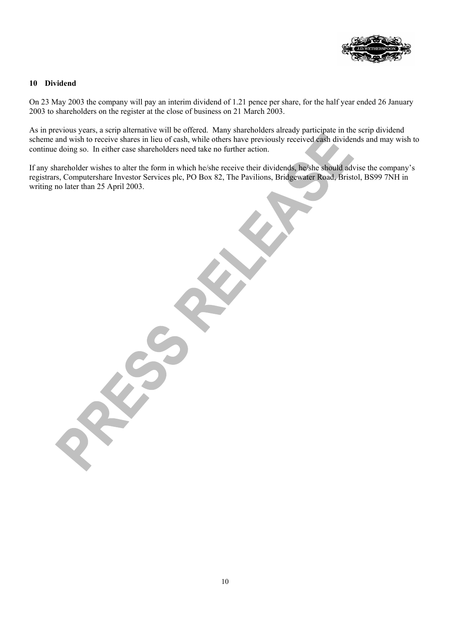

#### **10 Dividend**

On 23 May 2003 the company will pay an interim dividend of 1.21 pence per share, for the half year ended 26 January 2003 to shareholders on the register at the close of business on 21 March 2003.

As in previous years, a scrip alternative will be offered. Many shareholders already participate in the scrip dividend scheme and wish to receive shares in lieu of cash, while others have previously received cash dividends and may wish to continue doing so. In either case shareholders need take no further action.

If any shareholder wishes to alter the form in which he/she receive their dividends, he/she should advise the company's registrars, Computershare Investor Services plc, PO Box 82, The Pavilions, Bridgewater Road, Bristol, BS99 7NH in writing no later than 25 April 2003.